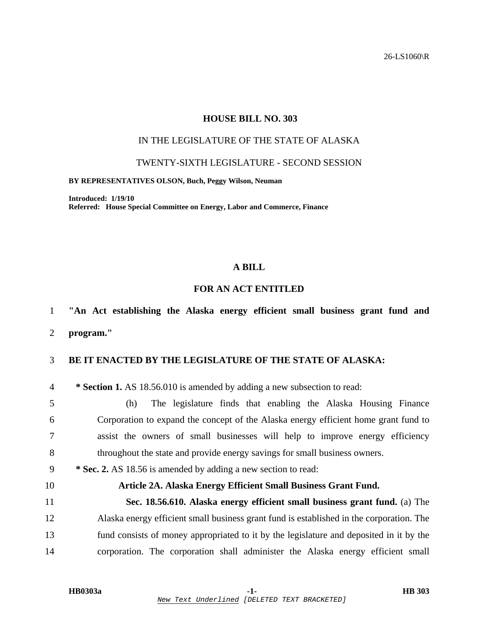26-LS1060\R

#### **HOUSE BILL NO. 303**

## IN THE LEGISLATURE OF THE STATE OF ALASKA

#### TWENTY-SIXTH LEGISLATURE - SECOND SESSION

#### **BY REPRESENTATIVES OLSON, Buch, Peggy Wilson, Neuman**

**Introduced: 1/19/10 Referred: House Special Committee on Energy, Labor and Commerce, Finance** 

## **A BILL**

#### **FOR AN ACT ENTITLED**

# 1 **"An Act establishing the Alaska energy efficient small business grant fund and**

2 **program."** 

#### 3 **BE IT ENACTED BY THE LEGISLATURE OF THE STATE OF ALASKA:**

4 **\* Section 1.** AS 18.56.010 is amended by adding a new subsection to read:

5 (h) The legislature finds that enabling the Alaska Housing Finance 6 Corporation to expand the concept of the Alaska energy efficient home grant fund to 7 assist the owners of small businesses will help to improve energy efficiency 8 throughout the state and provide energy savings for small business owners.

## 9 **\* Sec. 2.** AS 18.56 is amended by adding a new section to read:

### 10 **Article 2A. Alaska Energy Efficient Small Business Grant Fund.**

11 **Sec. 18.56.610. Alaska energy efficient small business grant fund.** (a) The 12 Alaska energy efficient small business grant fund is established in the corporation. The 13 fund consists of money appropriated to it by the legislature and deposited in it by the 14 corporation. The corporation shall administer the Alaska energy efficient small